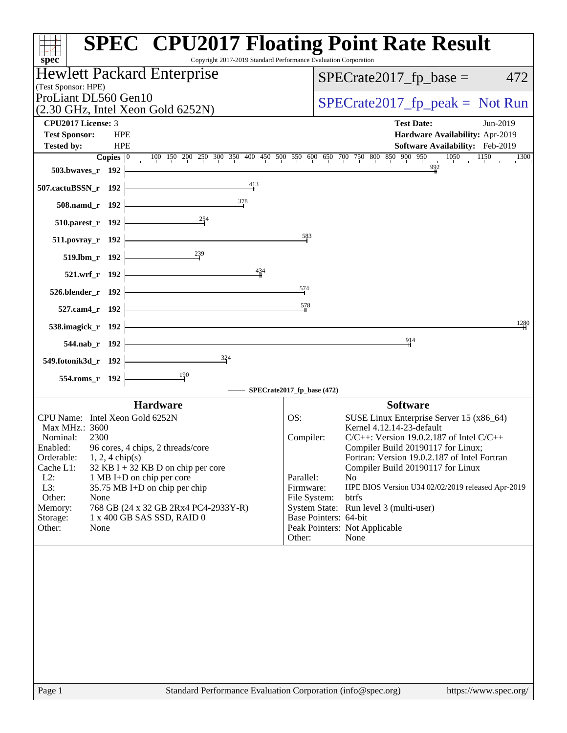| spec <sup>®</sup>                                                                                                                                                                                                                                                                                                                                                                                                              | <b>SPEC<sup>®</sup> CPU2017 Floating Point Rate Result</b><br>Copyright 2017-2019 Standard Performance Evaluation Corporation                                                                                                                                                                                                                                                                                                                                                                                         |
|--------------------------------------------------------------------------------------------------------------------------------------------------------------------------------------------------------------------------------------------------------------------------------------------------------------------------------------------------------------------------------------------------------------------------------|-----------------------------------------------------------------------------------------------------------------------------------------------------------------------------------------------------------------------------------------------------------------------------------------------------------------------------------------------------------------------------------------------------------------------------------------------------------------------------------------------------------------------|
| <b>Hewlett Packard Enterprise</b><br>(Test Sponsor: HPE)                                                                                                                                                                                                                                                                                                                                                                       | $SPECrate2017_fp\_base =$<br>472                                                                                                                                                                                                                                                                                                                                                                                                                                                                                      |
| ProLiant DL560 Gen10<br>(2.30 GHz, Intel Xeon Gold 6252N)                                                                                                                                                                                                                                                                                                                                                                      | $SPECrate2017_fp\_peak = Not Run$                                                                                                                                                                                                                                                                                                                                                                                                                                                                                     |
| <b>CPU2017 License: 3</b><br><b>Test Sponsor:</b><br><b>HPE</b><br><b>Tested by:</b><br><b>HPE</b><br>Copies $ 0\rangle$                                                                                                                                                                                                                                                                                                       | <b>Test Date:</b><br>Jun-2019<br>Hardware Availability: Apr-2019<br>Software Availability: Feb-2019<br>$1050$ $1150$<br>100 150 200 250 300 350 400 450 500 550 600 650 700 750 800 850 900 950<br>1300                                                                                                                                                                                                                                                                                                               |
| 503.bwaves_r 192<br>413                                                                                                                                                                                                                                                                                                                                                                                                        | $\frac{992}{9}$                                                                                                                                                                                                                                                                                                                                                                                                                                                                                                       |
| 507.cactuBSSN_r 192<br>378<br>508.namd_r 192                                                                                                                                                                                                                                                                                                                                                                                   |                                                                                                                                                                                                                                                                                                                                                                                                                                                                                                                       |
| 510.parest_r 192                                                                                                                                                                                                                                                                                                                                                                                                               |                                                                                                                                                                                                                                                                                                                                                                                                                                                                                                                       |
| 511.povray_r 192                                                                                                                                                                                                                                                                                                                                                                                                               | 583                                                                                                                                                                                                                                                                                                                                                                                                                                                                                                                   |
| $519.1 \text{bm}$ $\vert$ 192                                                                                                                                                                                                                                                                                                                                                                                                  |                                                                                                                                                                                                                                                                                                                                                                                                                                                                                                                       |
| 434<br>521.wrf_r 192                                                                                                                                                                                                                                                                                                                                                                                                           | 574                                                                                                                                                                                                                                                                                                                                                                                                                                                                                                                   |
| $526.$ blender_r 192<br><u> 1989 - Johann Barn, mars ann an t-</u><br>527.cam4_r 192                                                                                                                                                                                                                                                                                                                                           | 578                                                                                                                                                                                                                                                                                                                                                                                                                                                                                                                   |
| 538.imagick_r 192                                                                                                                                                                                                                                                                                                                                                                                                              | 1280                                                                                                                                                                                                                                                                                                                                                                                                                                                                                                                  |
| 544.nab_r 192                                                                                                                                                                                                                                                                                                                                                                                                                  | $^{914}$                                                                                                                                                                                                                                                                                                                                                                                                                                                                                                              |
| $\frac{324}{9}$<br>549.fotonik3d_r 192                                                                                                                                                                                                                                                                                                                                                                                         |                                                                                                                                                                                                                                                                                                                                                                                                                                                                                                                       |
| 554.roms_r 192                                                                                                                                                                                                                                                                                                                                                                                                                 | SPECrate2017_fp_base (472)                                                                                                                                                                                                                                                                                                                                                                                                                                                                                            |
| <b>Hardware</b>                                                                                                                                                                                                                                                                                                                                                                                                                | <b>Software</b>                                                                                                                                                                                                                                                                                                                                                                                                                                                                                                       |
| CPU Name: Intel Xeon Gold 6252N<br>Max MHz.: 3600<br>2300<br>Nominal:<br>96 cores, 4 chips, 2 threads/core<br>Enabled:<br>Orderable:<br>$1, 2, 4$ chip(s)<br>Cache L1:<br>$32$ KB I + 32 KB D on chip per core<br>$L2$ :<br>1 MB I+D on chip per core<br>L3:<br>35.75 MB I+D on chip per chip<br>Other:<br>None<br>768 GB (24 x 32 GB 2Rx4 PC4-2933Y-R)<br>Memory:<br>Storage:<br>1 x 400 GB SAS SSD, RAID 0<br>Other:<br>None | OS:<br>SUSE Linux Enterprise Server 15 (x86_64)<br>Kernel 4.12.14-23-default<br>$C/C++$ : Version 19.0.2.187 of Intel $C/C++$<br>Compiler:<br>Compiler Build 20190117 for Linux;<br>Fortran: Version 19.0.2.187 of Intel Fortran<br>Compiler Build 20190117 for Linux<br>Parallel:<br>N <sub>o</sub><br>Firmware:<br>HPE BIOS Version U34 02/02/2019 released Apr-2019<br>File System:<br>btrfs<br>System State: Run level 3 (multi-user)<br>Base Pointers: 64-bit<br>Peak Pointers: Not Applicable<br>Other:<br>None |
|                                                                                                                                                                                                                                                                                                                                                                                                                                |                                                                                                                                                                                                                                                                                                                                                                                                                                                                                                                       |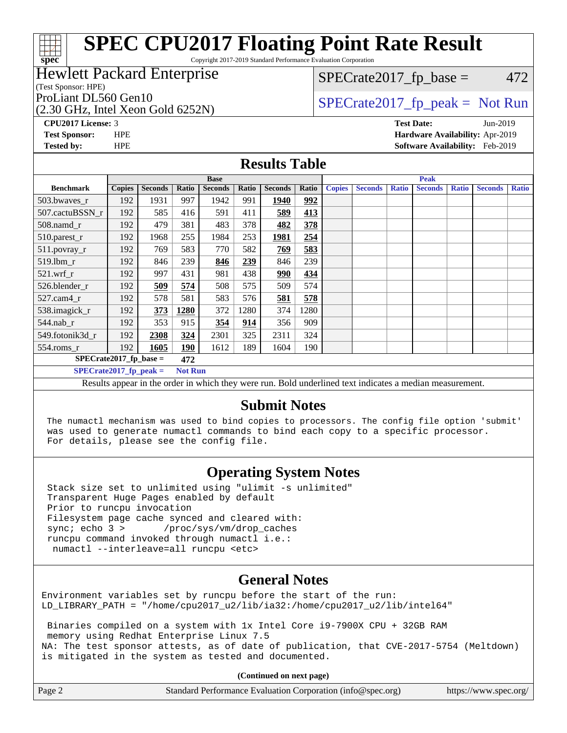Copyright 2017-2019 Standard Performance Evaluation Corporation

#### Hewlett Packard Enterprise

(Test Sponsor: HPE)

(2.30 GHz, Intel Xeon Gold 6252N)

 $SPECTate2017<sub>fr</sub> base = 472$ 

## ProLiant DL560 Gen10  $SPECrate2017$  fp\_peak = Not Run

**[CPU2017 License:](http://www.spec.org/auto/cpu2017/Docs/result-fields.html#CPU2017License)** 3 **[Test Date:](http://www.spec.org/auto/cpu2017/Docs/result-fields.html#TestDate)** Jun-2019 **[Test Sponsor:](http://www.spec.org/auto/cpu2017/Docs/result-fields.html#TestSponsor)** HPE **[Hardware Availability:](http://www.spec.org/auto/cpu2017/Docs/result-fields.html#HardwareAvailability)** Apr-2019 **[Tested by:](http://www.spec.org/auto/cpu2017/Docs/result-fields.html#Testedby)** HPE **[Software Availability:](http://www.spec.org/auto/cpu2017/Docs/result-fields.html#SoftwareAvailability)** Feb-2019

#### **[Results Table](http://www.spec.org/auto/cpu2017/Docs/result-fields.html#ResultsTable)**

|                                                                                                         |               |                |                | <b>Peak</b><br><b>Base</b> |       |                |       |               |                |              |                |              |                |              |
|---------------------------------------------------------------------------------------------------------|---------------|----------------|----------------|----------------------------|-------|----------------|-------|---------------|----------------|--------------|----------------|--------------|----------------|--------------|
| <b>Benchmark</b>                                                                                        | <b>Copies</b> | <b>Seconds</b> | Ratio          | <b>Seconds</b>             | Ratio | <b>Seconds</b> | Ratio | <b>Copies</b> | <b>Seconds</b> | <b>Ratio</b> | <b>Seconds</b> | <b>Ratio</b> | <b>Seconds</b> | <b>Ratio</b> |
| 503.bwaves_r                                                                                            | 192           | 1931           | 997            | 1942                       | 991   | 1940           | 992   |               |                |              |                |              |                |              |
| 507.cactuBSSN r                                                                                         | 192           | 585            | 416            | 591                        | 411   | 589            | 413   |               |                |              |                |              |                |              |
| $508$ .namd $r$                                                                                         | 192           | 479            | 381            | 483                        | 378   | 482            | 378   |               |                |              |                |              |                |              |
| 510.parest_r                                                                                            | 192           | 1968           | 255            | 1984                       | 253   | 1981           | 254   |               |                |              |                |              |                |              |
| 511.povray_r                                                                                            | 192           | 769            | 583            | 770                        | 582   | 769            | 583   |               |                |              |                |              |                |              |
| 519.1bm r                                                                                               | 192           | 846            | 239            | 846                        | 239   | 846            | 239   |               |                |              |                |              |                |              |
| $521$ .wrf r                                                                                            | 192           | 997            | 431            | 981                        | 438   | 990            | 434   |               |                |              |                |              |                |              |
| 526.blender r                                                                                           | 192           | 509            | 574            | 508                        | 575   | 509            | 574   |               |                |              |                |              |                |              |
| $527.cam4_r$                                                                                            | 192           | 578            | 581            | 583                        | 576   | 581            | 578   |               |                |              |                |              |                |              |
| 538.imagick_r                                                                                           | 192           | 373            | 1280           | 372                        | 1280  | 374            | 1280  |               |                |              |                |              |                |              |
| 544.nab r                                                                                               | 192           | 353            | 915            | 354                        | 914   | 356            | 909   |               |                |              |                |              |                |              |
| 549.fotonik3d r                                                                                         | 192           | 2308           | 324            | 2301                       | 325   | 2311           | 324   |               |                |              |                |              |                |              |
| $554$ .roms_r                                                                                           | 192           | 1605           | 190            | 1612                       | 189   | 1604           | 190   |               |                |              |                |              |                |              |
| $SPECrate2017_fp\_base =$                                                                               |               |                | 472            |                            |       |                |       |               |                |              |                |              |                |              |
| $SPECrate2017$ fp peak =                                                                                |               |                | <b>Not Run</b> |                            |       |                |       |               |                |              |                |              |                |              |
| Deaulte ann an in the ander in which they were my Dald underlined text in diastes a median magazinement |               |                |                |                            |       |                |       |               |                |              |                |              |                |              |

Results appear in the [order in which they were run](http://www.spec.org/auto/cpu2017/Docs/result-fields.html#RunOrder). Bold underlined text [indicates a median measurement.](http://www.spec.org/auto/cpu2017/Docs/result-fields.html#Median)

#### **[Submit Notes](http://www.spec.org/auto/cpu2017/Docs/result-fields.html#SubmitNotes)**

 The numactl mechanism was used to bind copies to processors. The config file option 'submit' was used to generate numactl commands to bind each copy to a specific processor. For details, please see the config file.

### **[Operating System Notes](http://www.spec.org/auto/cpu2017/Docs/result-fields.html#OperatingSystemNotes)**

 Stack size set to unlimited using "ulimit -s unlimited" Transparent Huge Pages enabled by default Prior to runcpu invocation Filesystem page cache synced and cleared with: sync; echo 3 > /proc/sys/vm/drop\_caches runcpu command invoked through numactl i.e.: numactl --interleave=all runcpu <etc>

#### **[General Notes](http://www.spec.org/auto/cpu2017/Docs/result-fields.html#GeneralNotes)**

Environment variables set by runcpu before the start of the run: LD\_LIBRARY\_PATH = "/home/cpu2017\_u2/lib/ia32:/home/cpu2017\_u2/lib/intel64"

 Binaries compiled on a system with 1x Intel Core i9-7900X CPU + 32GB RAM memory using Redhat Enterprise Linux 7.5 NA: The test sponsor attests, as of date of publication, that CVE-2017-5754 (Meltdown) is mitigated in the system as tested and documented.

**(Continued on next page)**

| Page 2<br>Standard Performance Evaluation Corporation (info@spec.org) | https://www.spec.org/ |
|-----------------------------------------------------------------------|-----------------------|
|-----------------------------------------------------------------------|-----------------------|

ti h **[spec](http://www.spec.org/)**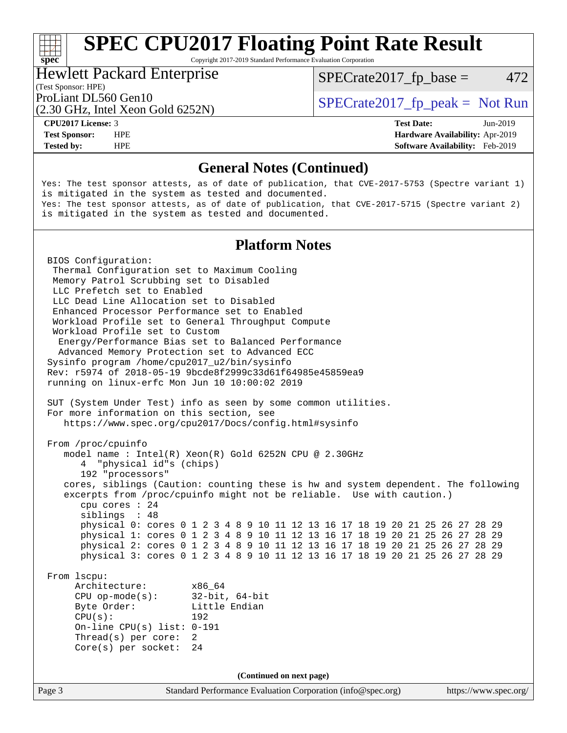Copyright 2017-2019 Standard Performance Evaluation Corporation

#### Hewlett Packard Enterprise

 $SPECTate2017<sub>fr</sub> base = 472$ 

### (Test Sponsor: HPE)

(2.30 GHz, Intel Xeon Gold 6252N)

ProLiant DL560 Gen10  $SPECTA 560$  Spectrate2017\_fp\_peak = Not Run

**[spec](http://www.spec.org/)**

**[Tested by:](http://www.spec.org/auto/cpu2017/Docs/result-fields.html#Testedby)** HPE **[Software Availability:](http://www.spec.org/auto/cpu2017/Docs/result-fields.html#SoftwareAvailability)** Feb-2019

**[CPU2017 License:](http://www.spec.org/auto/cpu2017/Docs/result-fields.html#CPU2017License)** 3 **[Test Date:](http://www.spec.org/auto/cpu2017/Docs/result-fields.html#TestDate)** Jun-2019 **[Test Sponsor:](http://www.spec.org/auto/cpu2017/Docs/result-fields.html#TestSponsor)** HPE **[Hardware Availability:](http://www.spec.org/auto/cpu2017/Docs/result-fields.html#HardwareAvailability)** Apr-2019

#### **[General Notes \(Continued\)](http://www.spec.org/auto/cpu2017/Docs/result-fields.html#GeneralNotes)**

Yes: The test sponsor attests, as of date of publication, that CVE-2017-5753 (Spectre variant 1) is mitigated in the system as tested and documented. Yes: The test sponsor attests, as of date of publication, that CVE-2017-5715 (Spectre variant 2) is mitigated in the system as tested and documented.

#### **[Platform Notes](http://www.spec.org/auto/cpu2017/Docs/result-fields.html#PlatformNotes)**

Page 3 Standard Performance Evaluation Corporation [\(info@spec.org\)](mailto:info@spec.org) <https://www.spec.org/> BIOS Configuration: Thermal Configuration set to Maximum Cooling Memory Patrol Scrubbing set to Disabled LLC Prefetch set to Enabled LLC Dead Line Allocation set to Disabled Enhanced Processor Performance set to Enabled Workload Profile set to General Throughput Compute Workload Profile set to Custom Energy/Performance Bias set to Balanced Performance Advanced Memory Protection set to Advanced ECC Sysinfo program /home/cpu2017\_u2/bin/sysinfo Rev: r5974 of 2018-05-19 9bcde8f2999c33d61f64985e45859ea9 running on linux-erfc Mon Jun 10 10:00:02 2019 SUT (System Under Test) info as seen by some common utilities. For more information on this section, see <https://www.spec.org/cpu2017/Docs/config.html#sysinfo> From /proc/cpuinfo model name : Intel(R) Xeon(R) Gold 6252N CPU @ 2.30GHz 4 "physical id"s (chips) 192 "processors" cores, siblings (Caution: counting these is hw and system dependent. The following excerpts from /proc/cpuinfo might not be reliable. Use with caution.) cpu cores : 24 siblings : 48 physical 0: cores 0 1 2 3 4 8 9 10 11 12 13 16 17 18 19 20 21 25 26 27 28 29 physical 1: cores 0 1 2 3 4 8 9 10 11 12 13 16 17 18 19 20 21 25 26 27 28 29 physical 2: cores 0 1 2 3 4 8 9 10 11 12 13 16 17 18 19 20 21 25 26 27 28 29 physical 3: cores 0 1 2 3 4 8 9 10 11 12 13 16 17 18 19 20 21 25 26 27 28 29 From lscpu: Architecture: x86\_64 CPU op-mode(s): 32-bit, 64-bit Byte Order: Little Endian CPU(s): 192 On-line CPU(s) list: 0-191 Thread(s) per core: 2 Core(s) per socket: 24 **(Continued on next page)**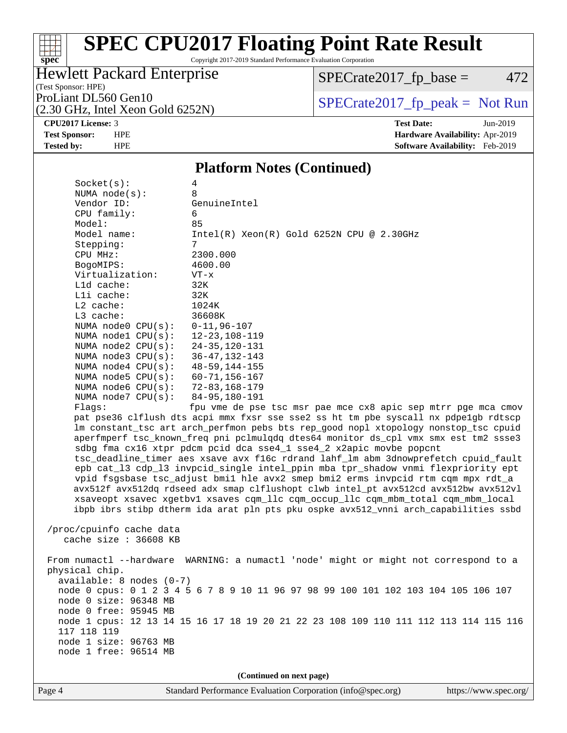Copyright 2017-2019 Standard Performance Evaluation Corporation

## Hewlett Packard Enterprise

 $SPECrate2017_fp\_base = 472$ 

#### (Test Sponsor: HPE)

(2.30 GHz, Intel Xeon Gold 6252N)

ProLiant DL560 Gen10<br>  $(2, 30 \text{ GHz})$  Intel Xeon Gold 6252N)

**[spec](http://www.spec.org/)**

**[CPU2017 License:](http://www.spec.org/auto/cpu2017/Docs/result-fields.html#CPU2017License)** 3 **[Test Date:](http://www.spec.org/auto/cpu2017/Docs/result-fields.html#TestDate)** Jun-2019 **[Test Sponsor:](http://www.spec.org/auto/cpu2017/Docs/result-fields.html#TestSponsor)** HPE **[Hardware Availability:](http://www.spec.org/auto/cpu2017/Docs/result-fields.html#HardwareAvailability)** Apr-2019 **[Tested by:](http://www.spec.org/auto/cpu2017/Docs/result-fields.html#Testedby)** HPE **[Software Availability:](http://www.spec.org/auto/cpu2017/Docs/result-fields.html#SoftwareAvailability)** Feb-2019

#### **[Platform Notes \(Continued\)](http://www.spec.org/auto/cpu2017/Docs/result-fields.html#PlatformNotes)**

| Socket(s):                                        | 4                                                                                    |
|---------------------------------------------------|--------------------------------------------------------------------------------------|
| NUMA $node(s):$                                   | 8                                                                                    |
| Vendor ID:                                        | GenuineIntel                                                                         |
| CPU family:                                       | 6                                                                                    |
| Model:                                            | 85                                                                                   |
| Model name:                                       | $Intel(R) Xeon(R) Gold 6252N CPU @ 2.30GHz$                                          |
| Stepping:                                         | $7\phantom{.0}$                                                                      |
| CPU MHz:                                          | 2300.000                                                                             |
| BogoMIPS:                                         | 4600.00                                                                              |
| Virtualization:                                   | $VT - x$                                                                             |
| L1d cache:                                        | 32K                                                                                  |
| Lli cache:                                        | 32K                                                                                  |
| $L2$ cache:                                       | 1024K                                                                                |
| $L3$ cache:                                       | 36608K                                                                               |
| NUMA $node0$ $CPU(s):$                            | $0 - 11,96 - 107$                                                                    |
| NUMA $node1$ $CPU(s):$                            | $12 - 23, 108 - 119$                                                                 |
| NUMA node2 CPU(s):                                | $24 - 35, 120 - 131$                                                                 |
| NUMA $node3$ $CPU(s):$                            | $36 - 47, 132 - 143$                                                                 |
| NUMA $node4$ $CPU(s):$                            | $48 - 59, 144 - 155$                                                                 |
| NUMA $node5$ $CPU(s):$                            | $60 - 71, 156 - 167$                                                                 |
| NUMA node6 CPU(s):                                | 72-83,168-179                                                                        |
| NUMA $node7$ $CPU(s):$                            | 84-95,180-191                                                                        |
| Flaqs:                                            | fpu vme de pse tsc msr pae mce cx8 apic sep mtrr pge mca cmov                        |
|                                                   | pat pse36 clflush dts acpi mmx fxsr sse sse2 ss ht tm pbe syscall nx pdpelgb rdtscp  |
|                                                   | lm constant_tsc art arch_perfmon pebs bts rep_good nopl xtopology nonstop_tsc cpuid  |
|                                                   | aperfmperf tsc_known_freq pni pclmulqdq dtes64 monitor ds_cpl vmx smx est tm2 ssse3  |
|                                                   | sdbg fma cx16 xtpr pdcm pcid dca sse4_1 sse4_2 x2apic movbe popcnt                   |
|                                                   | tsc_deadline_timer aes xsave avx f16c rdrand lahf_lm abm 3dnowprefetch cpuid_fault   |
|                                                   | epb cat_13 cdp_13 invpcid_single intel_ppin mba tpr_shadow vnmi flexpriority ept     |
|                                                   | vpid fsgsbase tsc_adjust bmil hle avx2 smep bmi2 erms invpcid rtm cqm mpx rdt_a      |
|                                                   | avx512f avx512dq rdseed adx smap clflushopt clwb intel_pt avx512cd avx512bw avx512vl |
|                                                   | xsaveopt xsavec xgetbvl xsaves cqm_llc cqm_occup_llc cqm_mbm_total cqm_mbm_local     |
|                                                   | ibpb ibrs stibp dtherm ida arat pln pts pku ospke avx512_vnni arch_capabilities ssbd |
|                                                   |                                                                                      |
| /proc/cpuinfo cache data<br>cache size : 36608 KB |                                                                                      |
|                                                   |                                                                                      |
|                                                   | From numactl --hardware WARNING: a numactl 'node' might or might not correspond to a |
| physical chip.                                    |                                                                                      |
| $available: 8 nodes (0-7)$                        |                                                                                      |
|                                                   | node 0 cpus: 0 1 2 3 4 5 6 7 8 9 10 11 96 97 98 99 100 101 102 103 104 105 106 107   |
| node 0 size: 96348 MB                             |                                                                                      |
| node 0 free: 95945 MB                             |                                                                                      |
|                                                   | node 1 cpus: 12 13 14 15 16 17 18 19 20 21 22 23 108 109 110 111 112 113 114 115 116 |
| 117 118 119                                       |                                                                                      |
| node 1 size: 96763 MB                             |                                                                                      |
| node 1 free: 96514 MB                             |                                                                                      |
|                                                   |                                                                                      |
|                                                   | (Continued on next page)                                                             |
|                                                   |                                                                                      |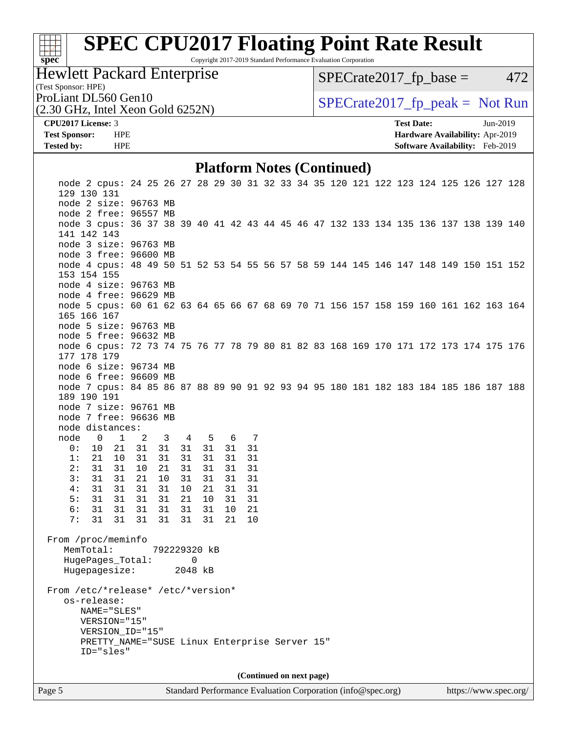# **[spec](http://www.spec.org/)**<sup>®</sup>

# **[SPEC CPU2017 Floating Point Rate Result](http://www.spec.org/auto/cpu2017/Docs/result-fields.html#SPECCPU2017FloatingPointRateResult)**

Copyright 2017-2019 Standard Performance Evaluation Corporation

### Hewlett Packard Enterprise

 $SPECTate2017<sub>fr</sub> base = 472$ 

## (Test Sponsor: HPE)

(2.30 GHz, Intel Xeon Gold 6252N)

ProLiant DL560 Gen10  $SPECTA 560$  Spectrate2017\_fp\_peak = Not Run

#### **[CPU2017 License:](http://www.spec.org/auto/cpu2017/Docs/result-fields.html#CPU2017License)** 3 **[Test Date:](http://www.spec.org/auto/cpu2017/Docs/result-fields.html#TestDate)** Jun-2019 **[Test Sponsor:](http://www.spec.org/auto/cpu2017/Docs/result-fields.html#TestSponsor)** HPE **[Hardware Availability:](http://www.spec.org/auto/cpu2017/Docs/result-fields.html#HardwareAvailability)** Apr-2019 **[Tested by:](http://www.spec.org/auto/cpu2017/Docs/result-fields.html#Testedby)** HPE **[Software Availability:](http://www.spec.org/auto/cpu2017/Docs/result-fields.html#SoftwareAvailability)** Feb-2019

#### **[Platform Notes \(Continued\)](http://www.spec.org/auto/cpu2017/Docs/result-fields.html#PlatformNotes)**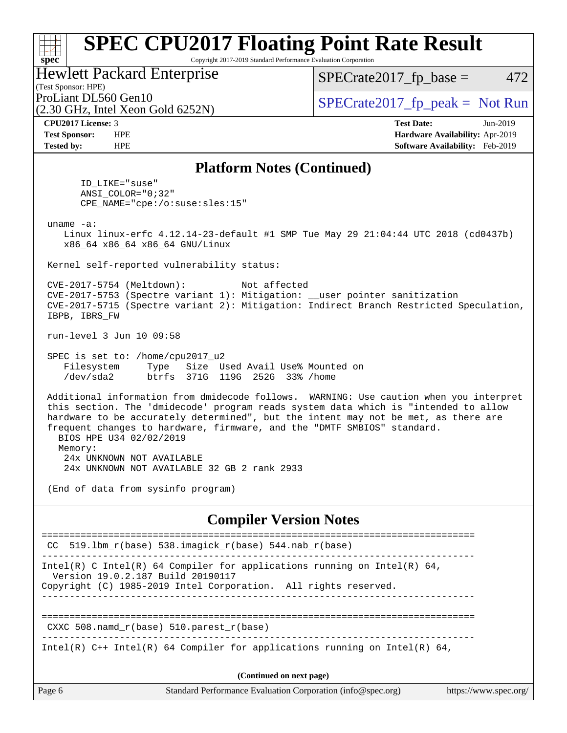Copyright 2017-2019 Standard Performance Evaluation Corporation

### Hewlett Packard Enterprise

 $SPECTate2017<sub>fr</sub> base = 472$ 

#### (Test Sponsor: HPE)

(2.30 GHz, Intel Xeon Gold 6252N)

ProLiant DL560 Gen10  $SPECrate2017$  fp\_peak = Not Run

**[spec](http://www.spec.org/)**

ti h

**[CPU2017 License:](http://www.spec.org/auto/cpu2017/Docs/result-fields.html#CPU2017License)** 3 **[Test Date:](http://www.spec.org/auto/cpu2017/Docs/result-fields.html#TestDate)** Jun-2019 **[Test Sponsor:](http://www.spec.org/auto/cpu2017/Docs/result-fields.html#TestSponsor)** HPE **[Hardware Availability:](http://www.spec.org/auto/cpu2017/Docs/result-fields.html#HardwareAvailability)** Apr-2019 **[Tested by:](http://www.spec.org/auto/cpu2017/Docs/result-fields.html#Testedby)** HPE **[Software Availability:](http://www.spec.org/auto/cpu2017/Docs/result-fields.html#SoftwareAvailability)** Feb-2019

#### **[Platform Notes \(Continued\)](http://www.spec.org/auto/cpu2017/Docs/result-fields.html#PlatformNotes)**

 ID\_LIKE="suse" ANSI\_COLOR="0;32" CPE\_NAME="cpe:/o:suse:sles:15"

uname -a:

 Linux linux-erfc 4.12.14-23-default #1 SMP Tue May 29 21:04:44 UTC 2018 (cd0437b) x86\_64 x86\_64 x86\_64 GNU/Linux

Kernel self-reported vulnerability status:

 CVE-2017-5754 (Meltdown): Not affected CVE-2017-5753 (Spectre variant 1): Mitigation: \_\_user pointer sanitization CVE-2017-5715 (Spectre variant 2): Mitigation: Indirect Branch Restricted Speculation, IBPB, IBRS\_FW

run-level 3 Jun 10 09:58

 SPEC is set to: /home/cpu2017\_u2 Filesystem Type Size Used Avail Use% Mounted on /dev/sda2 btrfs 371G 119G 252G 33% /home

 Additional information from dmidecode follows. WARNING: Use caution when you interpret this section. The 'dmidecode' program reads system data which is "intended to allow hardware to be accurately determined", but the intent may not be met, as there are frequent changes to hardware, firmware, and the "DMTF SMBIOS" standard. BIOS HPE U34 02/02/2019 Memory:

 24x UNKNOWN NOT AVAILABLE 24x UNKNOWN NOT AVAILABLE 32 GB 2 rank 2933

(End of data from sysinfo program)

#### **[Compiler Version Notes](http://www.spec.org/auto/cpu2017/Docs/result-fields.html#CompilerVersionNotes)**

|        | CC 519.1bm $r(base)$ 538.imagick $r(base)$ 544.nab $r(base)$                                                                                                                     |                       |
|--------|----------------------------------------------------------------------------------------------------------------------------------------------------------------------------------|-----------------------|
|        | Intel(R) C Intel(R) 64 Compiler for applications running on Intel(R) 64,<br>Version 19.0.2.187 Build 20190117<br>Copyright (C) 1985-2019 Intel Corporation. All rights reserved. |                       |
|        | CXXC 508. namd $r(base)$ 510. parest $r(base)$                                                                                                                                   |                       |
|        | Intel(R) $C++$ Intel(R) 64 Compiler for applications running on Intel(R) 64,                                                                                                     |                       |
|        | (Continued on next page)                                                                                                                                                         |                       |
| Page 6 | Standard Performance Evaluation Corporation (info@spec.org)                                                                                                                      | https://www.spec.org/ |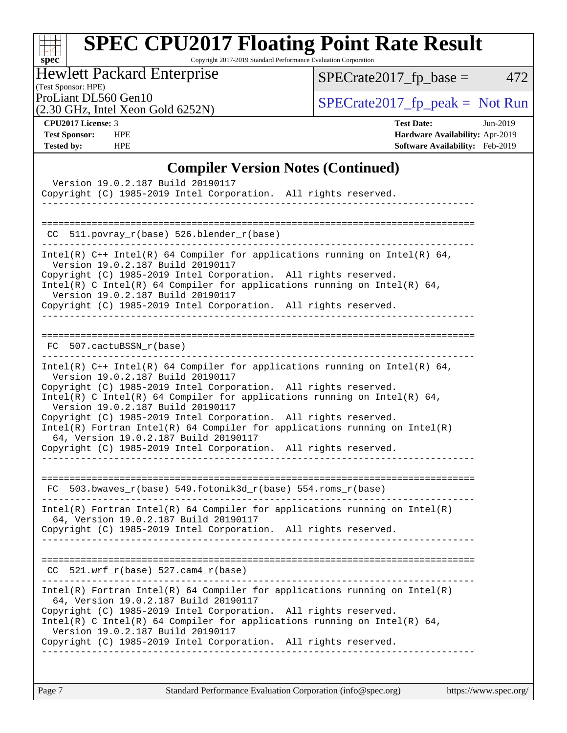# **[spec](http://www.spec.org/)**

# **[SPEC CPU2017 Floating Point Rate Result](http://www.spec.org/auto/cpu2017/Docs/result-fields.html#SPECCPU2017FloatingPointRateResult)**

Copyright 2017-2019 Standard Performance Evaluation Corporation

## Hewlett Packard Enterprise

 $SPECrate2017_fp\_base = 472$ 

#### (Test Sponsor: HPE)

(2.30 GHz, Intel Xeon Gold 6252N)

ProLiant DL560 Gen10<br>  $(2, 30 \text{ GHz})$  Intel Xeon Gold 6252N)

**[CPU2017 License:](http://www.spec.org/auto/cpu2017/Docs/result-fields.html#CPU2017License)** 3 **[Test Date:](http://www.spec.org/auto/cpu2017/Docs/result-fields.html#TestDate)** Jun-2019 **[Test Sponsor:](http://www.spec.org/auto/cpu2017/Docs/result-fields.html#TestSponsor)** HPE **[Hardware Availability:](http://www.spec.org/auto/cpu2017/Docs/result-fields.html#HardwareAvailability)** Apr-2019 **[Tested by:](http://www.spec.org/auto/cpu2017/Docs/result-fields.html#Testedby)** HPE **[Software Availability:](http://www.spec.org/auto/cpu2017/Docs/result-fields.html#SoftwareAvailability)** Feb-2019

#### **[Compiler Version Notes \(Continued\)](http://www.spec.org/auto/cpu2017/Docs/result-fields.html#CompilerVersionNotes)**

| Version 19.0.2.187 Build 20190117<br>Copyright (C) 1985-2019 Intel Corporation. All rights reserved.                                                                                                                                                                                                                                                                                                                                                                                                                                                                 |
|----------------------------------------------------------------------------------------------------------------------------------------------------------------------------------------------------------------------------------------------------------------------------------------------------------------------------------------------------------------------------------------------------------------------------------------------------------------------------------------------------------------------------------------------------------------------|
| CC 511.povray_r(base) 526.blender_r(base)                                                                                                                                                                                                                                                                                                                                                                                                                                                                                                                            |
| Intel(R) $C++$ Intel(R) 64 Compiler for applications running on Intel(R) 64,<br>Version 19.0.2.187 Build 20190117<br>Copyright (C) 1985-2019 Intel Corporation. All rights reserved.<br>Intel(R) C Intel(R) 64 Compiler for applications running on Intel(R) 64,<br>Version 19.0.2.187 Build 20190117<br>Copyright (C) 1985-2019 Intel Corporation. All rights reserved.                                                                                                                                                                                             |
| FC 507.cactuBSSN_r(base)                                                                                                                                                                                                                                                                                                                                                                                                                                                                                                                                             |
| Intel(R) $C++$ Intel(R) 64 Compiler for applications running on Intel(R) 64,<br>Version 19.0.2.187 Build 20190117<br>Copyright (C) 1985-2019 Intel Corporation. All rights reserved.<br>Intel(R) C Intel(R) 64 Compiler for applications running on Intel(R) 64,<br>Version 19.0.2.187 Build 20190117<br>Copyright (C) 1985-2019 Intel Corporation. All rights reserved.<br>$Intel(R)$ Fortran Intel(R) 64 Compiler for applications running on Intel(R)<br>64, Version 19.0.2.187 Build 20190117<br>Copyright (C) 1985-2019 Intel Corporation. All rights reserved. |
| FC 503.bwaves_r(base) 549.fotonik3d_r(base) 554.roms_r(base)                                                                                                                                                                                                                                                                                                                                                                                                                                                                                                         |
| $Intel(R)$ Fortran Intel(R) 64 Compiler for applications running on Intel(R)<br>64, Version 19.0.2.187 Build 20190117<br>Copyright (C) 1985-2019 Intel Corporation. All rights reserved.                                                                                                                                                                                                                                                                                                                                                                             |
| $CC$ 521.wrf_ $r$ (base) 527.cam4_ $r$ (base)                                                                                                                                                                                                                                                                                                                                                                                                                                                                                                                        |
| $Intel(R)$ Fortran Intel(R) 64 Compiler for applications running on Intel(R)<br>64, Version 19.0.2.187 Build 20190117<br>Copyright (C) 1985-2019 Intel Corporation. All rights reserved.<br>Intel(R) C Intel(R) 64 Compiler for applications running on Intel(R) 64,<br>Version 19.0.2.187 Build 20190117<br>Copyright (C) 1985-2019 Intel Corporation. All rights reserved.<br>-----------------                                                                                                                                                                    |
|                                                                                                                                                                                                                                                                                                                                                                                                                                                                                                                                                                      |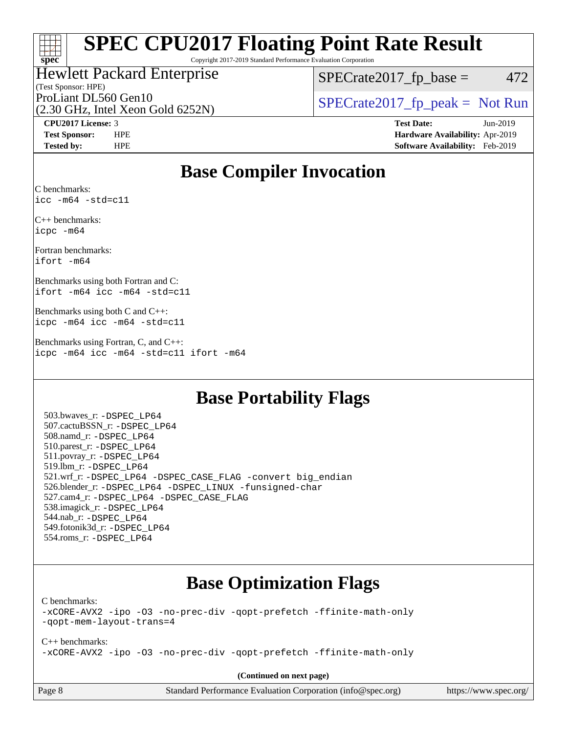### $\pm\pm\tau$ **[spec](http://www.spec.org/)**

# **[SPEC CPU2017 Floating Point Rate Result](http://www.spec.org/auto/cpu2017/Docs/result-fields.html#SPECCPU2017FloatingPointRateResult)**

Copyright 2017-2019 Standard Performance Evaluation Corporation

#### (Test Sponsor: HPE) Hewlett Packard Enterprise

 $SPECTate2017<sub>fr</sub> base = 472$ 

(2.30 GHz, Intel Xeon Gold 6252N)

ProLiant DL560 Gen10  $SPECTA 560$  Spectrate2017\_fp\_peak = Not Run

**[CPU2017 License:](http://www.spec.org/auto/cpu2017/Docs/result-fields.html#CPU2017License)** 3 **[Test Date:](http://www.spec.org/auto/cpu2017/Docs/result-fields.html#TestDate)** Jun-2019 **[Test Sponsor:](http://www.spec.org/auto/cpu2017/Docs/result-fields.html#TestSponsor)** HPE **[Hardware Availability:](http://www.spec.org/auto/cpu2017/Docs/result-fields.html#HardwareAvailability)** Apr-2019 **[Tested by:](http://www.spec.org/auto/cpu2017/Docs/result-fields.html#Testedby)** HPE **[Software Availability:](http://www.spec.org/auto/cpu2017/Docs/result-fields.html#SoftwareAvailability)** Feb-2019

## **[Base Compiler Invocation](http://www.spec.org/auto/cpu2017/Docs/result-fields.html#BaseCompilerInvocation)**

[C benchmarks](http://www.spec.org/auto/cpu2017/Docs/result-fields.html#Cbenchmarks): [icc -m64 -std=c11](http://www.spec.org/cpu2017/results/res2019q3/cpu2017-20190625-15729.flags.html#user_CCbase_intel_icc_64bit_c11_33ee0cdaae7deeeab2a9725423ba97205ce30f63b9926c2519791662299b76a0318f32ddfffdc46587804de3178b4f9328c46fa7c2b0cd779d7a61945c91cd35)

[C++ benchmarks](http://www.spec.org/auto/cpu2017/Docs/result-fields.html#CXXbenchmarks): [icpc -m64](http://www.spec.org/cpu2017/results/res2019q3/cpu2017-20190625-15729.flags.html#user_CXXbase_intel_icpc_64bit_4ecb2543ae3f1412ef961e0650ca070fec7b7afdcd6ed48761b84423119d1bf6bdf5cad15b44d48e7256388bc77273b966e5eb805aefd121eb22e9299b2ec9d9)

[Fortran benchmarks:](http://www.spec.org/auto/cpu2017/Docs/result-fields.html#Fortranbenchmarks) [ifort -m64](http://www.spec.org/cpu2017/results/res2019q3/cpu2017-20190625-15729.flags.html#user_FCbase_intel_ifort_64bit_24f2bb282fbaeffd6157abe4f878425411749daecae9a33200eee2bee2fe76f3b89351d69a8130dd5949958ce389cf37ff59a95e7a40d588e8d3a57e0c3fd751)

[Benchmarks using both Fortran and C](http://www.spec.org/auto/cpu2017/Docs/result-fields.html#BenchmarksusingbothFortranandC): [ifort -m64](http://www.spec.org/cpu2017/results/res2019q3/cpu2017-20190625-15729.flags.html#user_CC_FCbase_intel_ifort_64bit_24f2bb282fbaeffd6157abe4f878425411749daecae9a33200eee2bee2fe76f3b89351d69a8130dd5949958ce389cf37ff59a95e7a40d588e8d3a57e0c3fd751) [icc -m64 -std=c11](http://www.spec.org/cpu2017/results/res2019q3/cpu2017-20190625-15729.flags.html#user_CC_FCbase_intel_icc_64bit_c11_33ee0cdaae7deeeab2a9725423ba97205ce30f63b9926c2519791662299b76a0318f32ddfffdc46587804de3178b4f9328c46fa7c2b0cd779d7a61945c91cd35)

[Benchmarks using both C and C++:](http://www.spec.org/auto/cpu2017/Docs/result-fields.html#BenchmarksusingbothCandCXX) [icpc -m64](http://www.spec.org/cpu2017/results/res2019q3/cpu2017-20190625-15729.flags.html#user_CC_CXXbase_intel_icpc_64bit_4ecb2543ae3f1412ef961e0650ca070fec7b7afdcd6ed48761b84423119d1bf6bdf5cad15b44d48e7256388bc77273b966e5eb805aefd121eb22e9299b2ec9d9) [icc -m64 -std=c11](http://www.spec.org/cpu2017/results/res2019q3/cpu2017-20190625-15729.flags.html#user_CC_CXXbase_intel_icc_64bit_c11_33ee0cdaae7deeeab2a9725423ba97205ce30f63b9926c2519791662299b76a0318f32ddfffdc46587804de3178b4f9328c46fa7c2b0cd779d7a61945c91cd35)

[Benchmarks using Fortran, C, and C++](http://www.spec.org/auto/cpu2017/Docs/result-fields.html#BenchmarksusingFortranCandCXX): [icpc -m64](http://www.spec.org/cpu2017/results/res2019q3/cpu2017-20190625-15729.flags.html#user_CC_CXX_FCbase_intel_icpc_64bit_4ecb2543ae3f1412ef961e0650ca070fec7b7afdcd6ed48761b84423119d1bf6bdf5cad15b44d48e7256388bc77273b966e5eb805aefd121eb22e9299b2ec9d9) [icc -m64 -std=c11](http://www.spec.org/cpu2017/results/res2019q3/cpu2017-20190625-15729.flags.html#user_CC_CXX_FCbase_intel_icc_64bit_c11_33ee0cdaae7deeeab2a9725423ba97205ce30f63b9926c2519791662299b76a0318f32ddfffdc46587804de3178b4f9328c46fa7c2b0cd779d7a61945c91cd35) [ifort -m64](http://www.spec.org/cpu2017/results/res2019q3/cpu2017-20190625-15729.flags.html#user_CC_CXX_FCbase_intel_ifort_64bit_24f2bb282fbaeffd6157abe4f878425411749daecae9a33200eee2bee2fe76f3b89351d69a8130dd5949958ce389cf37ff59a95e7a40d588e8d3a57e0c3fd751)

## **[Base Portability Flags](http://www.spec.org/auto/cpu2017/Docs/result-fields.html#BasePortabilityFlags)**

 503.bwaves\_r: [-DSPEC\\_LP64](http://www.spec.org/cpu2017/results/res2019q3/cpu2017-20190625-15729.flags.html#suite_basePORTABILITY503_bwaves_r_DSPEC_LP64) 507.cactuBSSN\_r: [-DSPEC\\_LP64](http://www.spec.org/cpu2017/results/res2019q3/cpu2017-20190625-15729.flags.html#suite_basePORTABILITY507_cactuBSSN_r_DSPEC_LP64) 508.namd\_r: [-DSPEC\\_LP64](http://www.spec.org/cpu2017/results/res2019q3/cpu2017-20190625-15729.flags.html#suite_basePORTABILITY508_namd_r_DSPEC_LP64) 510.parest\_r: [-DSPEC\\_LP64](http://www.spec.org/cpu2017/results/res2019q3/cpu2017-20190625-15729.flags.html#suite_basePORTABILITY510_parest_r_DSPEC_LP64) 511.povray\_r: [-DSPEC\\_LP64](http://www.spec.org/cpu2017/results/res2019q3/cpu2017-20190625-15729.flags.html#suite_basePORTABILITY511_povray_r_DSPEC_LP64) 519.lbm\_r: [-DSPEC\\_LP64](http://www.spec.org/cpu2017/results/res2019q3/cpu2017-20190625-15729.flags.html#suite_basePORTABILITY519_lbm_r_DSPEC_LP64) 521.wrf\_r: [-DSPEC\\_LP64](http://www.spec.org/cpu2017/results/res2019q3/cpu2017-20190625-15729.flags.html#suite_basePORTABILITY521_wrf_r_DSPEC_LP64) [-DSPEC\\_CASE\\_FLAG](http://www.spec.org/cpu2017/results/res2019q3/cpu2017-20190625-15729.flags.html#b521.wrf_r_baseCPORTABILITY_DSPEC_CASE_FLAG) [-convert big\\_endian](http://www.spec.org/cpu2017/results/res2019q3/cpu2017-20190625-15729.flags.html#user_baseFPORTABILITY521_wrf_r_convert_big_endian_c3194028bc08c63ac5d04de18c48ce6d347e4e562e8892b8bdbdc0214820426deb8554edfa529a3fb25a586e65a3d812c835984020483e7e73212c4d31a38223) 526.blender\_r: [-DSPEC\\_LP64](http://www.spec.org/cpu2017/results/res2019q3/cpu2017-20190625-15729.flags.html#suite_basePORTABILITY526_blender_r_DSPEC_LP64) [-DSPEC\\_LINUX](http://www.spec.org/cpu2017/results/res2019q3/cpu2017-20190625-15729.flags.html#b526.blender_r_baseCPORTABILITY_DSPEC_LINUX) [-funsigned-char](http://www.spec.org/cpu2017/results/res2019q3/cpu2017-20190625-15729.flags.html#user_baseCPORTABILITY526_blender_r_force_uchar_40c60f00ab013830e2dd6774aeded3ff59883ba5a1fc5fc14077f794d777847726e2a5858cbc7672e36e1b067e7e5c1d9a74f7176df07886a243d7cc18edfe67) 527.cam4\_r: [-DSPEC\\_LP64](http://www.spec.org/cpu2017/results/res2019q3/cpu2017-20190625-15729.flags.html#suite_basePORTABILITY527_cam4_r_DSPEC_LP64) [-DSPEC\\_CASE\\_FLAG](http://www.spec.org/cpu2017/results/res2019q3/cpu2017-20190625-15729.flags.html#b527.cam4_r_baseCPORTABILITY_DSPEC_CASE_FLAG) 538.imagick\_r: [-DSPEC\\_LP64](http://www.spec.org/cpu2017/results/res2019q3/cpu2017-20190625-15729.flags.html#suite_basePORTABILITY538_imagick_r_DSPEC_LP64) 544.nab\_r: [-DSPEC\\_LP64](http://www.spec.org/cpu2017/results/res2019q3/cpu2017-20190625-15729.flags.html#suite_basePORTABILITY544_nab_r_DSPEC_LP64) 549.fotonik3d\_r: [-DSPEC\\_LP64](http://www.spec.org/cpu2017/results/res2019q3/cpu2017-20190625-15729.flags.html#suite_basePORTABILITY549_fotonik3d_r_DSPEC_LP64) 554.roms\_r: [-DSPEC\\_LP64](http://www.spec.org/cpu2017/results/res2019q3/cpu2017-20190625-15729.flags.html#suite_basePORTABILITY554_roms_r_DSPEC_LP64)

## **[Base Optimization Flags](http://www.spec.org/auto/cpu2017/Docs/result-fields.html#BaseOptimizationFlags)**

[C benchmarks](http://www.spec.org/auto/cpu2017/Docs/result-fields.html#Cbenchmarks):

[-xCORE-AVX2](http://www.spec.org/cpu2017/results/res2019q3/cpu2017-20190625-15729.flags.html#user_CCbase_f-xCORE-AVX2) [-ipo](http://www.spec.org/cpu2017/results/res2019q3/cpu2017-20190625-15729.flags.html#user_CCbase_f-ipo) [-O3](http://www.spec.org/cpu2017/results/res2019q3/cpu2017-20190625-15729.flags.html#user_CCbase_f-O3) [-no-prec-div](http://www.spec.org/cpu2017/results/res2019q3/cpu2017-20190625-15729.flags.html#user_CCbase_f-no-prec-div) [-qopt-prefetch](http://www.spec.org/cpu2017/results/res2019q3/cpu2017-20190625-15729.flags.html#user_CCbase_f-qopt-prefetch) [-ffinite-math-only](http://www.spec.org/cpu2017/results/res2019q3/cpu2017-20190625-15729.flags.html#user_CCbase_f_finite_math_only_cb91587bd2077682c4b38af759c288ed7c732db004271a9512da14a4f8007909a5f1427ecbf1a0fb78ff2a814402c6114ac565ca162485bbcae155b5e4258871) [-qopt-mem-layout-trans=4](http://www.spec.org/cpu2017/results/res2019q3/cpu2017-20190625-15729.flags.html#user_CCbase_f-qopt-mem-layout-trans_fa39e755916c150a61361b7846f310bcdf6f04e385ef281cadf3647acec3f0ae266d1a1d22d972a7087a248fd4e6ca390a3634700869573d231a252c784941a8)

[C++ benchmarks:](http://www.spec.org/auto/cpu2017/Docs/result-fields.html#CXXbenchmarks) [-xCORE-AVX2](http://www.spec.org/cpu2017/results/res2019q3/cpu2017-20190625-15729.flags.html#user_CXXbase_f-xCORE-AVX2) [-ipo](http://www.spec.org/cpu2017/results/res2019q3/cpu2017-20190625-15729.flags.html#user_CXXbase_f-ipo) [-O3](http://www.spec.org/cpu2017/results/res2019q3/cpu2017-20190625-15729.flags.html#user_CXXbase_f-O3) [-no-prec-div](http://www.spec.org/cpu2017/results/res2019q3/cpu2017-20190625-15729.flags.html#user_CXXbase_f-no-prec-div) [-qopt-prefetch](http://www.spec.org/cpu2017/results/res2019q3/cpu2017-20190625-15729.flags.html#user_CXXbase_f-qopt-prefetch) [-ffinite-math-only](http://www.spec.org/cpu2017/results/res2019q3/cpu2017-20190625-15729.flags.html#user_CXXbase_f_finite_math_only_cb91587bd2077682c4b38af759c288ed7c732db004271a9512da14a4f8007909a5f1427ecbf1a0fb78ff2a814402c6114ac565ca162485bbcae155b5e4258871)

**(Continued on next page)**

Page 8 Standard Performance Evaluation Corporation [\(info@spec.org\)](mailto:info@spec.org) <https://www.spec.org/>